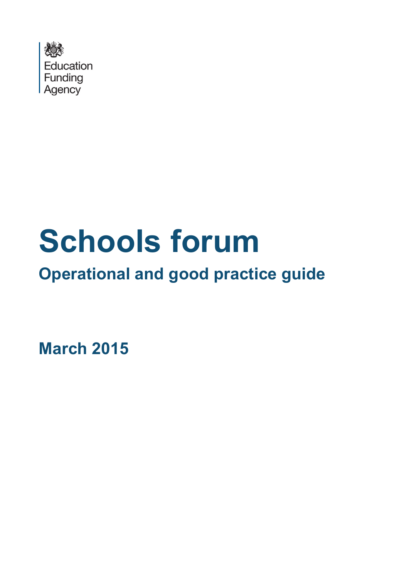

# **Schools forum**

## **Operational and good practice guide**

**March 2015**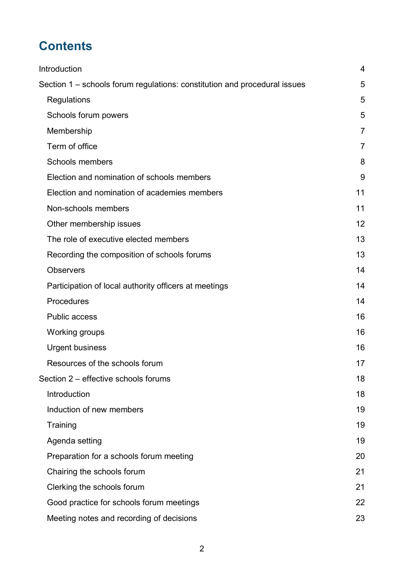## **Contents**

| Introduction                                                              | 4              |
|---------------------------------------------------------------------------|----------------|
| Section 1 – schools forum regulations: constitution and procedural issues | 5              |
| Regulations                                                               | 5              |
| Schools forum powers                                                      | 5              |
| Membership                                                                | 7              |
| Term of office                                                            | $\overline{7}$ |
| Schools members                                                           | 8              |
| Election and nomination of schools members                                | 9              |
| Election and nomination of academies members                              | 11             |
| Non-schools members                                                       | 11             |
| Other membership issues                                                   | 12             |
| The role of executive elected members                                     | 13             |
| Recording the composition of schools forums                               | 13             |
| <b>Observers</b>                                                          | 14             |
| Participation of local authority officers at meetings                     | 14             |
| Procedures                                                                | 14             |
| <b>Public access</b>                                                      | 16             |
| Working groups                                                            | 16             |
| <b>Urgent business</b>                                                    | 16             |
| Resources of the schools forum                                            | 17             |
| Section 2 – effective schools forums                                      | 18             |
| Introduction                                                              | 18             |
| Induction of new members                                                  | 19             |
| Training                                                                  | 19             |
| Agenda setting                                                            | 19             |
| Preparation for a schools forum meeting                                   | 20             |
| Chairing the schools forum                                                | 21             |
| Clerking the schools forum                                                | 21             |
| Good practice for schools forum meetings                                  | 22             |
| Meeting notes and recording of decisions                                  | 23             |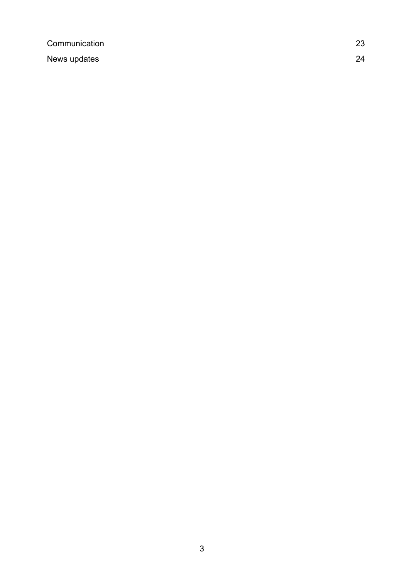[Communication](#page-22-1) 23 [News updates](#page-23-0) 24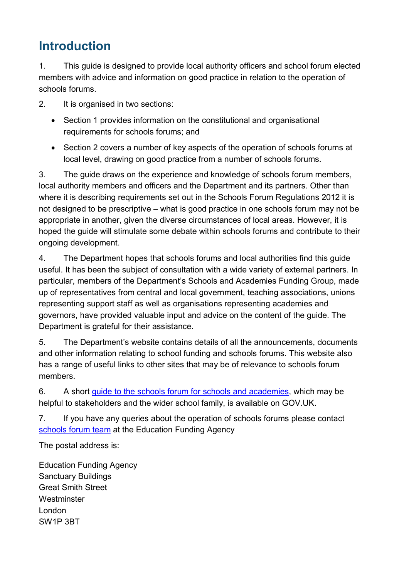## <span id="page-3-0"></span>**Introduction**

1. This guide is designed to provide local authority officers and school forum elected members with advice and information on good practice in relation to the operation of schools forums.

2. It is organised in two sections:

- Section 1 provides information on the constitutional and organisational requirements for schools forums; and
- Section 2 covers a number of key aspects of the operation of schools forums at local level, drawing on good practice from a number of schools forums.

3. The guide draws on the experience and knowledge of schools forum members, local authority members and officers and the Department and its partners. Other than where it is describing requirements set out in the Schools Forum Regulations 2012 it is not designed to be prescriptive – what is good practice in one schools forum may not be appropriate in another, given the diverse circumstances of local areas. However, it is hoped the guide will stimulate some debate within schools forums and contribute to their ongoing development.

4. The Department hopes that schools forums and local authorities find this guide useful. It has been the subject of consultation with a wide variety of external partners. In particular, members of the Department's Schools and Academies Funding Group, made up of representatives from central and local government, teaching associations, unions representing support staff as well as organisations representing academies and governors, have provided valuable input and advice on the content of the guide. The Department is grateful for their assistance.

5. The Department's website contains details of all the announcements, documents and other information relating to school funding and schools forums. This website also has a range of useful links to other sites that may be of relevance to schools forum members.

6. A short [guide to the schools forum for schools and academies,](https://www.gov.uk/schools-forum-a-guide-for-schools-and-academies) which may be helpful to stakeholders and the wider school family, is available on GOV.UK.

7. If you have any queries about the operation of schools forums please contact [schools forum team](mailto:reformteam.funding@education.gsi.gov.uk) at the Education Funding Agency

The postal address is:

Education Funding Agency Sanctuary Buildings Great Smith Street **Westminster** London SW1P 3BT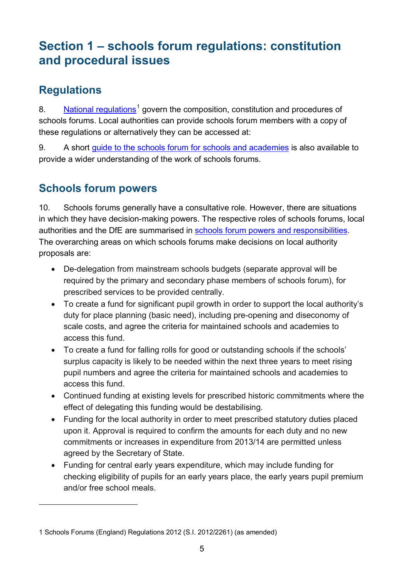### <span id="page-4-0"></span>**Section 1 – schools forum regulations: constitution and procedural issues**

#### <span id="page-4-1"></span>**Regulations**

 $\overline{a}$ 

8. [National regulations](https://www.gov.uk/government/publications/schools-forums-england-regulations-2012)<sup>[1](#page-4-3)</sup> govern the composition, constitution and procedures of schools forums. Local authorities can provide schools forum members with a copy of these regulations or alternatively they can be accessed at:

9. A short [guide to the schools forum for schools and academies](https://www.gov.uk/schools-forum-a-guide-for-schools-and-academies) is also available to provide a wider understanding of the work of schools forums.

#### <span id="page-4-2"></span>**Schools forum powers**

10. Schools forums generally have a consultative role. However, there are situations in which they have decision-making powers. The respective roles of schools forums, local authorities and the DfE are summarised in [schools forum powers and responsibilities.](https://www.gov.uk/government/publications/schools-forums-operational-and-good-practice-guide-2015) The overarching areas on which schools forums make decisions on local authority proposals are:

- De-delegation from mainstream schools budgets (separate approval will be required by the primary and secondary phase members of schools forum), for prescribed services to be provided centrally.
- To create a fund for significant pupil growth in order to support the local authority's duty for place planning (basic need), including pre-opening and diseconomy of scale costs, and agree the criteria for maintained schools and academies to access this fund.
- To create a fund for falling rolls for good or outstanding schools if the schools' surplus capacity is likely to be needed within the next three years to meet rising pupil numbers and agree the criteria for maintained schools and academies to access this fund.
- Continued funding at existing levels for prescribed historic commitments where the effect of delegating this funding would be destabilising.
- Funding for the local authority in order to meet prescribed statutory duties placed upon it. Approval is required to confirm the amounts for each duty and no new commitments or increases in expenditure from 2013/14 are permitted unless agreed by the Secretary of State.
- Funding for central early years expenditure, which may include funding for checking eligibility of pupils for an early years place, the early years pupil premium and/or free school meals.

<span id="page-4-3"></span><sup>1</sup> Schools Forums (England) Regulations 2012 (S.I. 2012/2261) (as amended)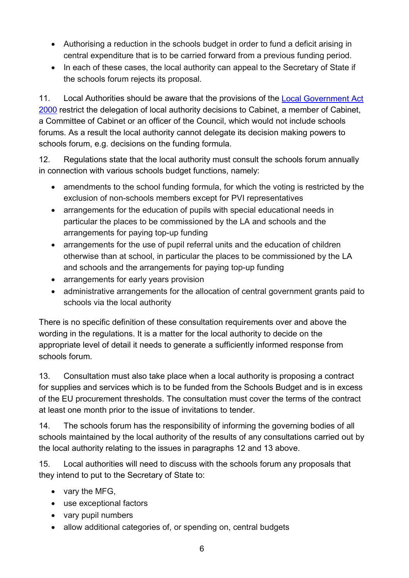- Authorising a reduction in the schools budget in order to fund a deficit arising in central expenditure that is to be carried forward from a previous funding period.
- In each of these cases, the local authority can appeal to the Secretary of State if the schools forum rejects its proposal.

11. Local Authorities should be aware that the provisions of the Local Government Act [2000](http://www.legislation.gov.uk/ukpga/2000/22/contents) restrict the delegation of local authority decisions to Cabinet, a member of Cabinet, a Committee of Cabinet or an officer of the Council, which would not include schools forums. As a result the local authority cannot delegate its decision making powers to schools forum, e.g. decisions on the funding formula.

12. Regulations state that the local authority must consult the schools forum annually in connection with various schools budget functions, namely:

- amendments to the school funding formula, for which the voting is restricted by the exclusion of non-schools members except for PVI representatives
- arrangements for the education of pupils with special educational needs in particular the places to be commissioned by the LA and schools and the arrangements for paying top-up funding
- arrangements for the use of pupil referral units and the education of children otherwise than at school, in particular the places to be commissioned by the LA and schools and the arrangements for paying top-up funding
- arrangements for early years provision
- administrative arrangements for the allocation of central government grants paid to schools via the local authority

There is no specific definition of these consultation requirements over and above the wording in the regulations. It is a matter for the local authority to decide on the appropriate level of detail it needs to generate a sufficiently informed response from schools forum.

13. Consultation must also take place when a local authority is proposing a contract for supplies and services which is to be funded from the Schools Budget and is in excess of the EU procurement thresholds. The consultation must cover the terms of the contract at least one month prior to the issue of invitations to tender.

14. The schools forum has the responsibility of informing the governing bodies of all schools maintained by the local authority of the results of any consultations carried out by the local authority relating to the issues in paragraphs 12 and 13 above.

15. Local authorities will need to discuss with the schools forum any proposals that they intend to put to the Secretary of State to:

- vary the MFG,
- use exceptional factors
- vary pupil numbers
- allow additional categories of, or spending on, central budgets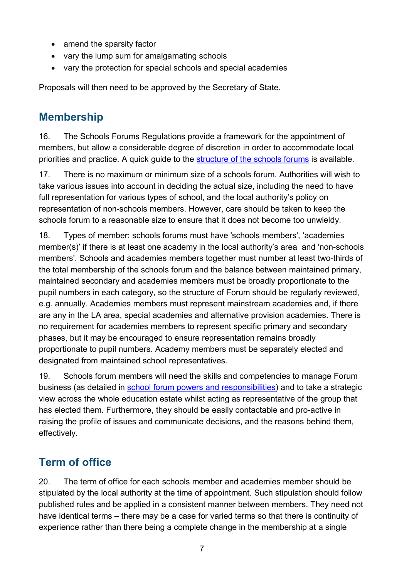- amend the sparsity factor
- vary the lump sum for amalgamating schools
- vary the protection for special schools and special academies

Proposals will then need to be approved by the Secretary of State.

#### <span id="page-6-0"></span>**Membership**

16. The Schools Forums Regulations provide a framework for the appointment of members, but allow a considerable degree of discretion in order to accommodate local priorities and practice. A quick guide to the [structure of the schools forums](https://www.gov.uk/government/publications/schools-forums-operational-and-good-practice-guide-2015) is available.

17. There is no maximum or minimum size of a schools forum. Authorities will wish to take various issues into account in deciding the actual size, including the need to have full representation for various types of school, and the local authority's policy on representation of non-schools members. However, care should be taken to keep the schools forum to a reasonable size to ensure that it does not become too unwieldy.

18. Types of member: schools forums must have 'schools members', 'academies member(s)' if there is at least one academy in the local authority's area and 'non-schools members'. Schools and academies members together must number at least two-thirds of the total membership of the schools forum and the balance between maintained primary, maintained secondary and academies members must be broadly proportionate to the pupil numbers in each category, so the structure of Forum should be regularly reviewed, e.g. annually. Academies members must represent mainstream academies and, if there are any in the LA area, special academies and alternative provision academies. There is no requirement for academies members to represent specific primary and secondary phases, but it may be encouraged to ensure representation remains broadly proportionate to pupil numbers. Academy members must be separately elected and designated from maintained school representatives.

19. Schools forum members will need the skills and competencies to manage Forum business (as detailed in [school forum powers and responsibilities\)](https://www.gov.uk/government/publications/schools-forums-operational-and-good-practice-guide-2015) and to take a strategic view across the whole education estate whilst acting as representative of the group that has elected them. Furthermore, they should be easily contactable and pro-active in raising the profile of issues and communicate decisions, and the reasons behind them, effectively.

#### <span id="page-6-1"></span>**Term of office**

20. The term of office for each schools member and academies member should be stipulated by the local authority at the time of appointment. Such stipulation should follow published rules and be applied in a consistent manner between members. They need not have identical terms – there may be a case for varied terms so that there is continuity of experience rather than there being a complete change in the membership at a single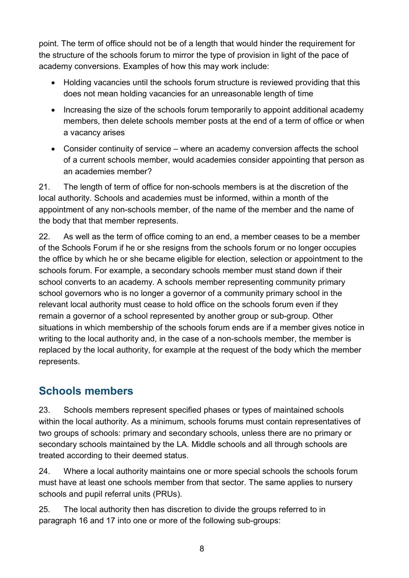point. The term of office should not be of a length that would hinder the requirement for the structure of the schools forum to mirror the type of provision in light of the pace of academy conversions. Examples of how this may work include:

- Holding vacancies until the schools forum structure is reviewed providing that this does not mean holding vacancies for an unreasonable length of time
- Increasing the size of the schools forum temporarily to appoint additional academy members, then delete schools member posts at the end of a term of office or when a vacancy arises
- Consider continuity of service where an academy conversion affects the school of a current schools member, would academies consider appointing that person as an academies member?

21. The length of term of office for non-schools members is at the discretion of the local authority. Schools and academies must be informed, within a month of the appointment of any non-schools member, of the name of the member and the name of the body that that member represents.

22. As well as the term of office coming to an end, a member ceases to be a member of the Schools Forum if he or she resigns from the schools forum or no longer occupies the office by which he or she became eligible for election, selection or appointment to the schools forum. For example, a secondary schools member must stand down if their school converts to an academy. A schools member representing community primary school governors who is no longer a governor of a community primary school in the relevant local authority must cease to hold office on the schools forum even if they remain a governor of a school represented by another group or sub-group. Other situations in which membership of the schools forum ends are if a member gives notice in writing to the local authority and, in the case of a non-schools member, the member is replaced by the local authority, for example at the request of the body which the member represents.

#### <span id="page-7-0"></span>**Schools members**

23. Schools members represent specified phases or types of maintained schools within the local authority. As a minimum, schools forums must contain representatives of two groups of schools: primary and secondary schools, unless there are no primary or secondary schools maintained by the LA. Middle schools and all through schools are treated according to their deemed status.

24. Where a local authority maintains one or more special schools the schools forum must have at least one schools member from that sector. The same applies to nursery schools and pupil referral units (PRUs).

25. The local authority then has discretion to divide the groups referred to in paragraph 16 and 17 into one or more of the following sub-groups: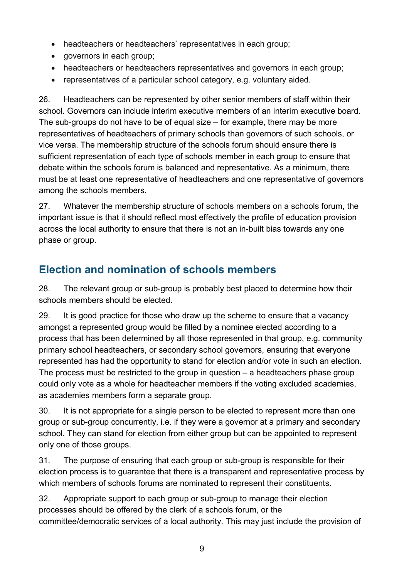- headteachers or headteachers' representatives in each group;
- governors in each group;
- headteachers or headteachers representatives and governors in each group;
- representatives of a particular school category, e.g. voluntary aided.

26. Headteachers can be represented by other senior members of staff within their school. Governors can include interim executive members of an interim executive board. The sub-groups do not have to be of equal size – for example, there may be more representatives of headteachers of primary schools than governors of such schools, or vice versa. The membership structure of the schools forum should ensure there is sufficient representation of each type of schools member in each group to ensure that debate within the schools forum is balanced and representative. As a minimum, there must be at least one representative of headteachers and one representative of governors among the schools members.

27. Whatever the membership structure of schools members on a schools forum, the important issue is that it should reflect most effectively the profile of education provision across the local authority to ensure that there is not an in-built bias towards any one phase or group.

#### <span id="page-8-0"></span>**Election and nomination of schools members**

28. The relevant group or sub-group is probably best placed to determine how their schools members should be elected.

29. It is good practice for those who draw up the scheme to ensure that a vacancy amongst a represented group would be filled by a nominee elected according to a process that has been determined by all those represented in that group, e.g. community primary school headteachers, or secondary school governors, ensuring that everyone represented has had the opportunity to stand for election and/or vote in such an election. The process must be restricted to the group in question – a headteachers phase group could only vote as a whole for headteacher members if the voting excluded academies, as academies members form a separate group.

30. It is not appropriate for a single person to be elected to represent more than one group or sub-group concurrently, i.e. if they were a governor at a primary and secondary school. They can stand for election from either group but can be appointed to represent only one of those groups.

31. The purpose of ensuring that each group or sub-group is responsible for their election process is to guarantee that there is a transparent and representative process by which members of schools forums are nominated to represent their constituents.

32. Appropriate support to each group or sub-group to manage their election processes should be offered by the clerk of a schools forum, or the committee/democratic services of a local authority. This may just include the provision of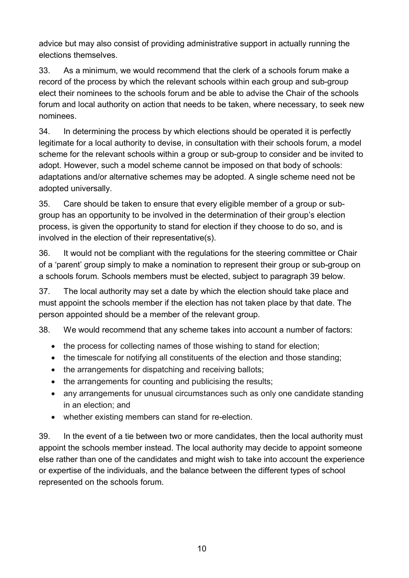advice but may also consist of providing administrative support in actually running the elections themselves.

33. As a minimum, we would recommend that the clerk of a schools forum make a record of the process by which the relevant schools within each group and sub-group elect their nominees to the schools forum and be able to advise the Chair of the schools forum and local authority on action that needs to be taken, where necessary, to seek new nominees.

34. In determining the process by which elections should be operated it is perfectly legitimate for a local authority to devise, in consultation with their schools forum, a model scheme for the relevant schools within a group or sub-group to consider and be invited to adopt. However, such a model scheme cannot be imposed on that body of schools: adaptations and/or alternative schemes may be adopted. A single scheme need not be adopted universally.

35. Care should be taken to ensure that every eligible member of a group or subgroup has an opportunity to be involved in the determination of their group's election process, is given the opportunity to stand for election if they choose to do so, and is involved in the election of their representative(s).

36. It would not be compliant with the regulations for the steering committee or Chair of a 'parent' group simply to make a nomination to represent their group or sub-group on a schools forum. Schools members must be elected, subject to paragraph 39 below.

37. The local authority may set a date by which the election should take place and must appoint the schools member if the election has not taken place by that date. The person appointed should be a member of the relevant group.

38. We would recommend that any scheme takes into account a number of factors:

- the process for collecting names of those wishing to stand for election;
- the timescale for notifying all constituents of the election and those standing;
- the arrangements for dispatching and receiving ballots;
- the arrangements for counting and publicising the results;
- any arrangements for unusual circumstances such as only one candidate standing in an election; and
- whether existing members can stand for re-election.

39. In the event of a tie between two or more candidates, then the local authority must appoint the schools member instead. The local authority may decide to appoint someone else rather than one of the candidates and might wish to take into account the experience or expertise of the individuals, and the balance between the different types of school represented on the schools forum.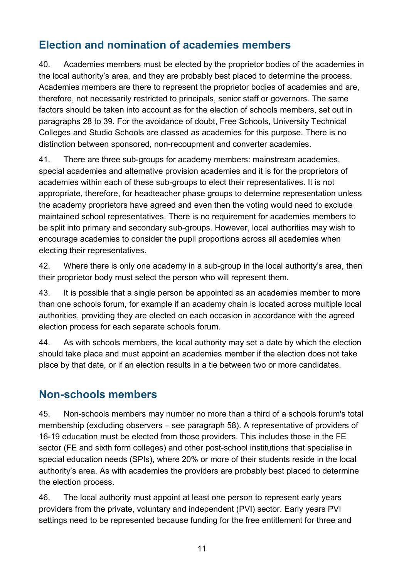#### <span id="page-10-0"></span>**Election and nomination of academies members**

40. Academies members must be elected by the proprietor bodies of the academies in the local authority's area, and they are probably best placed to determine the process. Academies members are there to represent the proprietor bodies of academies and are, therefore, not necessarily restricted to principals, senior staff or governors. The same factors should be taken into account as for the election of schools members, set out in paragraphs 28 to 39. For the avoidance of doubt, Free Schools, University Technical Colleges and Studio Schools are classed as academies for this purpose. There is no distinction between sponsored, non-recoupment and converter academies.

41. There are three sub-groups for academy members: mainstream academies, special academies and alternative provision academies and it is for the proprietors of academies within each of these sub-groups to elect their representatives. It is not appropriate, therefore, for headteacher phase groups to determine representation unless the academy proprietors have agreed and even then the voting would need to exclude maintained school representatives. There is no requirement for academies members to be split into primary and secondary sub-groups. However, local authorities may wish to encourage academies to consider the pupil proportions across all academies when electing their representatives.

42. Where there is only one academy in a sub-group in the local authority's area, then their proprietor body must select the person who will represent them.

43. It is possible that a single person be appointed as an academies member to more than one schools forum, for example if an academy chain is located across multiple local authorities, providing they are elected on each occasion in accordance with the agreed election process for each separate schools forum.

44. As with schools members, the local authority may set a date by which the election should take place and must appoint an academies member if the election does not take place by that date, or if an election results in a tie between two or more candidates.

#### <span id="page-10-1"></span>**Non-schools members**

45. Non-schools members may number no more than a third of a schools forum's total membership (excluding observers – see paragraph 58). A representative of providers of 16-19 education must be elected from those providers. This includes those in the FE sector (FE and sixth form colleges) and other post-school institutions that specialise in special education needs (SPIs), where 20% or more of their students reside in the local authority's area. As with academies the providers are probably best placed to determine the election process.

46. The local authority must appoint at least one person to represent early years providers from the private, voluntary and independent (PVI) sector. Early years PVI settings need to be represented because funding for the free entitlement for three and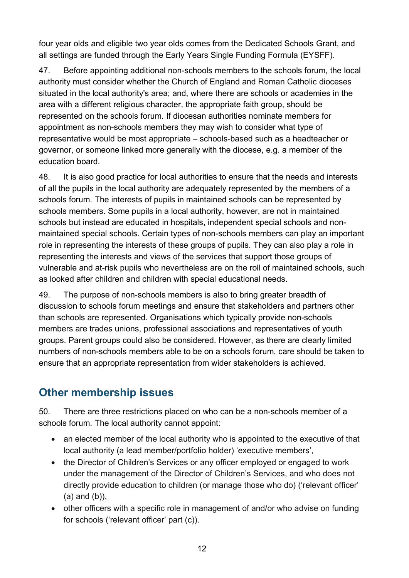four year olds and eligible two year olds comes from the Dedicated Schools Grant, and all settings are funded through the Early Years Single Funding Formula (EYSFF).

47. Before appointing additional non-schools members to the schools forum, the local authority must consider whether the Church of England and Roman Catholic dioceses situated in the local authority's area; and, where there are schools or academies in the area with a different religious character, the appropriate faith group, should be represented on the schools forum. If diocesan authorities nominate members for appointment as non-schools members they may wish to consider what type of representative would be most appropriate – schools-based such as a headteacher or governor, or someone linked more generally with the diocese, e.g. a member of the education board.

48. It is also good practice for local authorities to ensure that the needs and interests of all the pupils in the local authority are adequately represented by the members of a schools forum. The interests of pupils in maintained schools can be represented by schools members. Some pupils in a local authority, however, are not in maintained schools but instead are educated in hospitals, independent special schools and nonmaintained special schools. Certain types of non-schools members can play an important role in representing the interests of these groups of pupils. They can also play a role in representing the interests and views of the services that support those groups of vulnerable and at-risk pupils who nevertheless are on the roll of maintained schools, such as looked after children and children with special educational needs.

49. The purpose of non-schools members is also to bring greater breadth of discussion to schools forum meetings and ensure that stakeholders and partners other than schools are represented. Organisations which typically provide non-schools members are trades unions, professional associations and representatives of youth groups. Parent groups could also be considered. However, as there are clearly limited numbers of non-schools members able to be on a schools forum, care should be taken to ensure that an appropriate representation from wider stakeholders is achieved.

#### <span id="page-11-0"></span>**Other membership issues**

50. There are three restrictions placed on who can be a non-schools member of a schools forum. The local authority cannot appoint:

- an elected member of the local authority who is appointed to the executive of that local authority (a lead member/portfolio holder) 'executive members',
- the Director of Children's Services or any officer employed or engaged to work under the management of the Director of Children's Services, and who does not directly provide education to children (or manage those who do) ('relevant officer' (a) and (b)),
- other officers with a specific role in management of and/or who advise on funding for schools ('relevant officer' part (c)).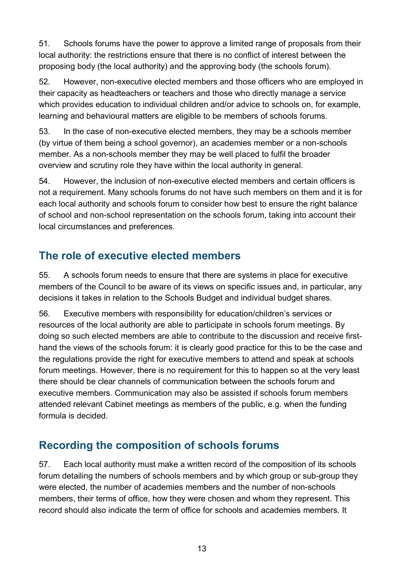51. Schools forums have the power to approve a limited range of proposals from their local authority: the restrictions ensure that there is no conflict of interest between the proposing body (the local authority) and the approving body (the schools forum).

52. However, non-executive elected members and those officers who are employed in their capacity as headteachers or teachers and those who directly manage a service which provides education to individual children and/or advice to schools on, for example, learning and behavioural matters are eligible to be members of schools forums.

53. In the case of non-executive elected members, they may be a schools member (by virtue of them being a school governor), an academies member or a non-schools member. As a non-schools member they may be well placed to fulfil the broader overview and scrutiny role they have within the local authority in general.

54. However, the inclusion of non-executive elected members and certain officers is not a requirement. Many schools forums do not have such members on them and it is for each local authority and schools forum to consider how best to ensure the right balance of school and non-school representation on the schools forum, taking into account their local circumstances and preferences.

#### <span id="page-12-0"></span>**The role of executive elected members**

55. A schools forum needs to ensure that there are systems in place for executive members of the Council to be aware of its views on specific issues and, in particular, any decisions it takes in relation to the Schools Budget and individual budget shares.

56. Executive members with responsibility for education/children's services or resources of the local authority are able to participate in schools forum meetings. By doing so such elected members are able to contribute to the discussion and receive firsthand the views of the schools forum: it is clearly good practice for this to be the case and the regulations provide the right for executive members to attend and speak at schools forum meetings. However, there is no requirement for this to happen so at the very least there should be clear channels of communication between the schools forum and executive members. Communication may also be assisted if schools forum members attended relevant Cabinet meetings as members of the public, e.g. when the funding formula is decided.

#### <span id="page-12-1"></span>**Recording the composition of schools forums**

57. Each local authority must make a written record of the composition of its schools forum detailing the numbers of schools members and by which group or sub-group they were elected, the number of academies members and the number of non-schools members, their terms of office, how they were chosen and whom they represent. This record should also indicate the term of office for schools and academies members. It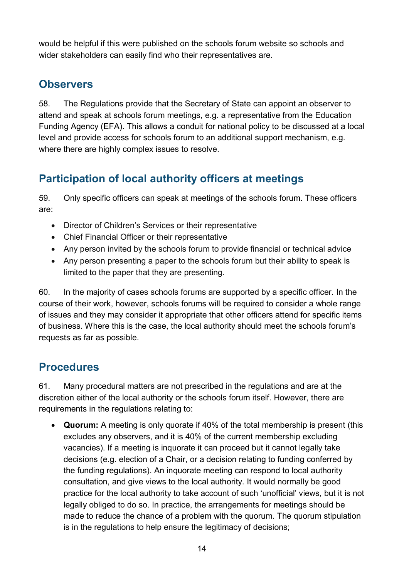would be helpful if this were published on the schools forum website so schools and wider stakeholders can easily find who their representatives are.

#### <span id="page-13-0"></span>**Observers**

58. The Regulations provide that the Secretary of State can appoint an observer to attend and speak at schools forum meetings, e.g. a representative from the Education Funding Agency (EFA). This allows a conduit for national policy to be discussed at a local level and provide access for schools forum to an additional support mechanism, e.g. where there are highly complex issues to resolve.

#### <span id="page-13-1"></span>**Participation of local authority officers at meetings**

59. Only specific officers can speak at meetings of the schools forum. These officers are:

- Director of Children's Services or their representative
- Chief Financial Officer or their representative
- Any person invited by the schools forum to provide financial or technical advice
- Any person presenting a paper to the schools forum but their ability to speak is limited to the paper that they are presenting.

60. In the majority of cases schools forums are supported by a specific officer. In the course of their work, however, schools forums will be required to consider a whole range of issues and they may consider it appropriate that other officers attend for specific items of business. Where this is the case, the local authority should meet the schools forum's requests as far as possible.

#### <span id="page-13-2"></span>**Procedures**

61. Many procedural matters are not prescribed in the regulations and are at the discretion either of the local authority or the schools forum itself. However, there are requirements in the regulations relating to:

• **Quorum:** A meeting is only quorate if 40% of the total membership is present (this excludes any observers, and it is 40% of the current membership excluding vacancies). If a meeting is inquorate it can proceed but it cannot legally take decisions (e.g. election of a Chair, or a decision relating to funding conferred by the funding regulations). An inquorate meeting can respond to local authority consultation, and give views to the local authority. It would normally be good practice for the local authority to take account of such 'unofficial' views, but it is not legally obliged to do so. In practice, the arrangements for meetings should be made to reduce the chance of a problem with the quorum. The quorum stipulation is in the regulations to help ensure the legitimacy of decisions;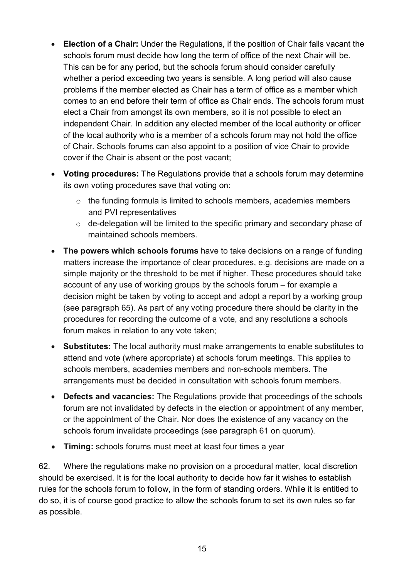- **Election of a Chair:** Under the Regulations, if the position of Chair falls vacant the schools forum must decide how long the term of office of the next Chair will be. This can be for any period, but the schools forum should consider carefully whether a period exceeding two years is sensible. A long period will also cause problems if the member elected as Chair has a term of office as a member which comes to an end before their term of office as Chair ends. The schools forum must elect a Chair from amongst its own members, so it is not possible to elect an independent Chair. In addition any elected member of the local authority or officer of the local authority who is a member of a schools forum may not hold the office of Chair. Schools forums can also appoint to a position of vice Chair to provide cover if the Chair is absent or the post vacant;
- **Voting procedures:** The Regulations provide that a schools forum may determine its own voting procedures save that voting on:
	- o the funding formula is limited to schools members, academies members and PVI representatives
	- o de-delegation will be limited to the specific primary and secondary phase of maintained schools members.
- **The powers which schools forums** have to take decisions on a range of funding matters increase the importance of clear procedures, e.g. decisions are made on a simple majority or the threshold to be met if higher. These procedures should take account of any use of working groups by the schools forum – for example a decision might be taken by voting to accept and adopt a report by a working group (see paragraph 65). As part of any voting procedure there should be clarity in the procedures for recording the outcome of a vote, and any resolutions a schools forum makes in relation to any vote taken;
- **Substitutes:** The local authority must make arrangements to enable substitutes to attend and vote (where appropriate) at schools forum meetings. This applies to schools members, academies members and non-schools members. The arrangements must be decided in consultation with schools forum members.
- **Defects and vacancies:** The Regulations provide that proceedings of the schools forum are not invalidated by defects in the election or appointment of any member, or the appointment of the Chair. Nor does the existence of any vacancy on the schools forum invalidate proceedings (see paragraph 61 on quorum).
- **Timing:** schools forums must meet at least four times a year

62. Where the regulations make no provision on a procedural matter, local discretion should be exercised. It is for the local authority to decide how far it wishes to establish rules for the schools forum to follow, in the form of standing orders. While it is entitled to do so, it is of course good practice to allow the schools forum to set its own rules so far as possible.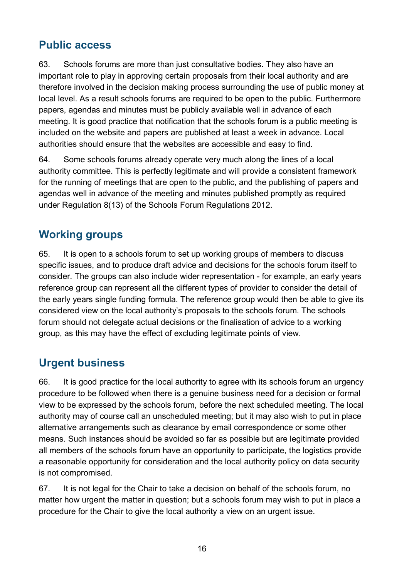#### <span id="page-15-0"></span>**Public access**

63. Schools forums are more than just consultative bodies. They also have an important role to play in approving certain proposals from their local authority and are therefore involved in the decision making process surrounding the use of public money at local level. As a result schools forums are required to be open to the public. Furthermore papers, agendas and minutes must be publicly available well in advance of each meeting. It is good practice that notification that the schools forum is a public meeting is included on the website and papers are published at least a week in advance. Local authorities should ensure that the websites are accessible and easy to find.

64. Some schools forums already operate very much along the lines of a local authority committee. This is perfectly legitimate and will provide a consistent framework for the running of meetings that are open to the public, and the publishing of papers and agendas well in advance of the meeting and minutes published promptly as required under Regulation 8(13) of the Schools Forum Regulations 2012.

#### <span id="page-15-1"></span>**Working groups**

65. It is open to a schools forum to set up working groups of members to discuss specific issues, and to produce draft advice and decisions for the schools forum itself to consider. The groups can also include wider representation - for example, an early years reference group can represent all the different types of provider to consider the detail of the early years single funding formula. The reference group would then be able to give its considered view on the local authority's proposals to the schools forum. The schools forum should not delegate actual decisions or the finalisation of advice to a working group, as this may have the effect of excluding legitimate points of view.

#### <span id="page-15-2"></span>**Urgent business**

66. It is good practice for the local authority to agree with its schools forum an urgency procedure to be followed when there is a genuine business need for a decision or formal view to be expressed by the schools forum, before the next scheduled meeting. The local authority may of course call an unscheduled meeting; but it may also wish to put in place alternative arrangements such as clearance by email correspondence or some other means. Such instances should be avoided so far as possible but are legitimate provided all members of the schools forum have an opportunity to participate, the logistics provide a reasonable opportunity for consideration and the local authority policy on data security is not compromised.

67. It is not legal for the Chair to take a decision on behalf of the schools forum, no matter how urgent the matter in question; but a schools forum may wish to put in place a procedure for the Chair to give the local authority a view on an urgent issue.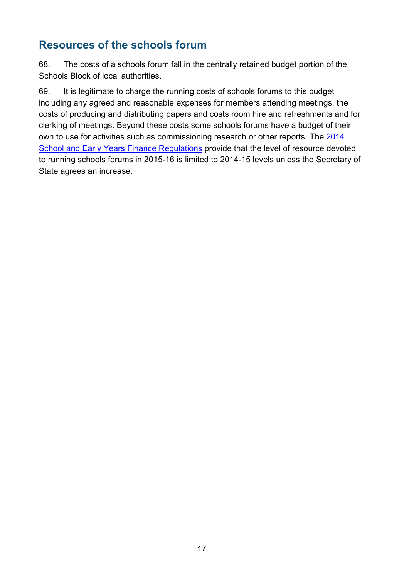#### <span id="page-16-0"></span>**Resources of the schools forum**

68. The costs of a schools forum fall in the centrally retained budget portion of the Schools Block of local authorities.

69. It is legitimate to charge the running costs of schools forums to this budget including any agreed and reasonable expenses for members attending meetings, the costs of producing and distributing papers and costs room hire and refreshments and for clerking of meetings. Beyond these costs some schools forums have a budget of their own to use for activities such as commissioning research or other reports. The [2014](http://www.legislation.gov.uk/uksi/2014/3352/contents/made)  [School and Early Years Finance Regulations](http://www.legislation.gov.uk/uksi/2014/3352/contents/made) provide that the level of resource devoted to running schools forums in 2015-16 is limited to 2014-15 levels unless the Secretary of State agrees an increase.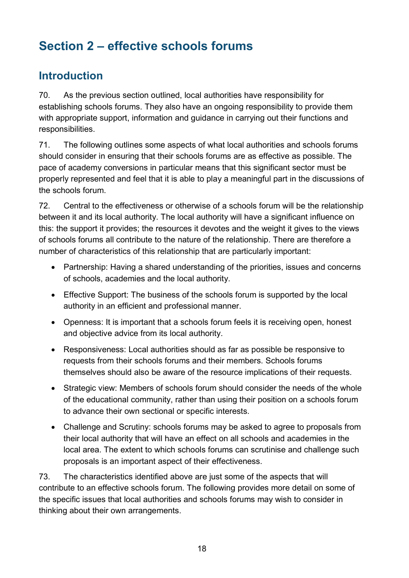## <span id="page-17-0"></span>**Section 2 – effective schools forums**

#### <span id="page-17-1"></span>**Introduction**

70. As the previous section outlined, local authorities have responsibility for establishing schools forums. They also have an ongoing responsibility to provide them with appropriate support, information and guidance in carrying out their functions and responsibilities.

71. The following outlines some aspects of what local authorities and schools forums should consider in ensuring that their schools forums are as effective as possible. The pace of academy conversions in particular means that this significant sector must be properly represented and feel that it is able to play a meaningful part in the discussions of the schools forum.

72. Central to the effectiveness or otherwise of a schools forum will be the relationship between it and its local authority. The local authority will have a significant influence on this: the support it provides; the resources it devotes and the weight it gives to the views of schools forums all contribute to the nature of the relationship. There are therefore a number of characteristics of this relationship that are particularly important:

- Partnership: Having a shared understanding of the priorities, issues and concerns of schools, academies and the local authority.
- Effective Support: The business of the schools forum is supported by the local authority in an efficient and professional manner.
- Openness: It is important that a schools forum feels it is receiving open, honest and objective advice from its local authority.
- Responsiveness: Local authorities should as far as possible be responsive to requests from their schools forums and their members. Schools forums themselves should also be aware of the resource implications of their requests.
- Strategic view: Members of schools forum should consider the needs of the whole of the educational community, rather than using their position on a schools forum to advance their own sectional or specific interests.
- Challenge and Scrutiny: schools forums may be asked to agree to proposals from their local authority that will have an effect on all schools and academies in the local area. The extent to which schools forums can scrutinise and challenge such proposals is an important aspect of their effectiveness.

73. The characteristics identified above are just some of the aspects that will contribute to an effective schools forum. The following provides more detail on some of the specific issues that local authorities and schools forums may wish to consider in thinking about their own arrangements.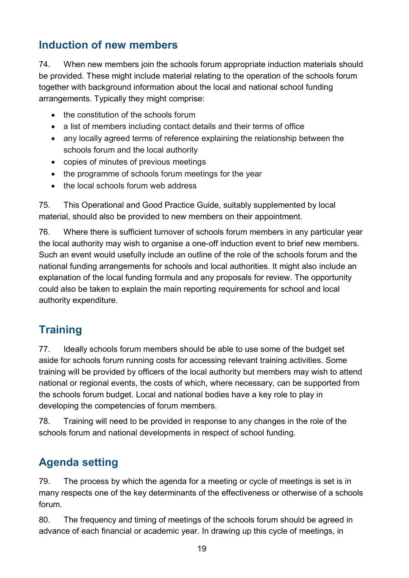#### <span id="page-18-0"></span>**Induction of new members**

74. When new members join the schools forum appropriate induction materials should be provided. These might include material relating to the operation of the schools forum together with background information about the local and national school funding arrangements. Typically they might comprise:

- the constitution of the schools forum
- a list of members including contact details and their terms of office
- any locally agreed terms of reference explaining the relationship between the schools forum and the local authority
- copies of minutes of previous meetings
- the programme of schools forum meetings for the year
- the local schools forum web address

75. This Operational and Good Practice Guide, suitably supplemented by local material, should also be provided to new members on their appointment.

76. Where there is sufficient turnover of schools forum members in any particular year the local authority may wish to organise a one-off induction event to brief new members. Such an event would usefully include an outline of the role of the schools forum and the national funding arrangements for schools and local authorities. It might also include an explanation of the local funding formula and any proposals for review. The opportunity could also be taken to explain the main reporting requirements for school and local authority expenditure.

#### <span id="page-18-1"></span>**Training**

77. Ideally schools forum members should be able to use some of the budget set aside for schools forum running costs for accessing relevant training activities. Some training will be provided by officers of the local authority but members may wish to attend national or regional events, the costs of which, where necessary, can be supported from the schools forum budget. Local and national bodies have a key role to play in developing the competencies of forum members.

78. Training will need to be provided in response to any changes in the role of the schools forum and national developments in respect of school funding.

#### <span id="page-18-2"></span>**Agenda setting**

79. The process by which the agenda for a meeting or cycle of meetings is set is in many respects one of the key determinants of the effectiveness or otherwise of a schools forum.

80. The frequency and timing of meetings of the schools forum should be agreed in advance of each financial or academic year. In drawing up this cycle of meetings, in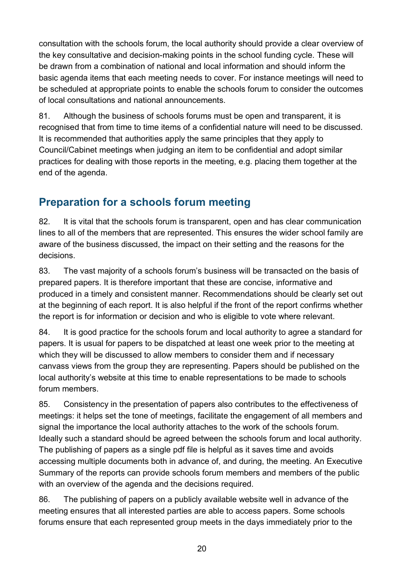consultation with the schools forum, the local authority should provide a clear overview of the key consultative and decision-making points in the school funding cycle. These will be drawn from a combination of national and local information and should inform the basic agenda items that each meeting needs to cover. For instance meetings will need to be scheduled at appropriate points to enable the schools forum to consider the outcomes of local consultations and national announcements.

81. Although the business of schools forums must be open and transparent, it is recognised that from time to time items of a confidential nature will need to be discussed. It is recommended that authorities apply the same principles that they apply to Council/Cabinet meetings when judging an item to be confidential and adopt similar practices for dealing with those reports in the meeting, e.g. placing them together at the end of the agenda.

#### <span id="page-19-0"></span>**Preparation for a schools forum meeting**

82. It is vital that the schools forum is transparent, open and has clear communication lines to all of the members that are represented. This ensures the wider school family are aware of the business discussed, the impact on their setting and the reasons for the decisions.

83. The vast majority of a schools forum's business will be transacted on the basis of prepared papers. It is therefore important that these are concise, informative and produced in a timely and consistent manner. Recommendations should be clearly set out at the beginning of each report. It is also helpful if the front of the report confirms whether the report is for information or decision and who is eligible to vote where relevant.

84. It is good practice for the schools forum and local authority to agree a standard for papers. It is usual for papers to be dispatched at least one week prior to the meeting at which they will be discussed to allow members to consider them and if necessary canvass views from the group they are representing. Papers should be published on the local authority's website at this time to enable representations to be made to schools forum members.

85. Consistency in the presentation of papers also contributes to the effectiveness of meetings: it helps set the tone of meetings, facilitate the engagement of all members and signal the importance the local authority attaches to the work of the schools forum. Ideally such a standard should be agreed between the schools forum and local authority. The publishing of papers as a single pdf file is helpful as it saves time and avoids accessing multiple documents both in advance of, and during, the meeting. An Executive Summary of the reports can provide schools forum members and members of the public with an overview of the agenda and the decisions required.

86. The publishing of papers on a publicly available website well in advance of the meeting ensures that all interested parties are able to access papers. Some schools forums ensure that each represented group meets in the days immediately prior to the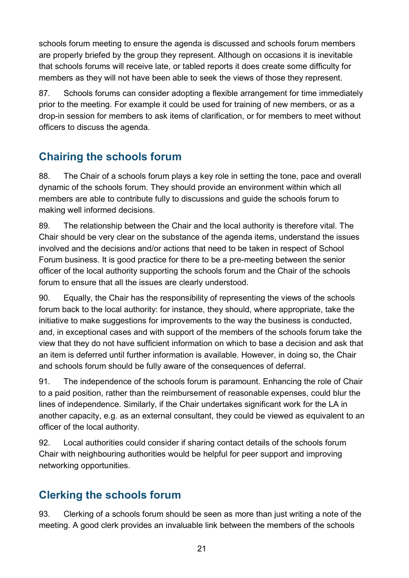schools forum meeting to ensure the agenda is discussed and schools forum members are properly briefed by the group they represent. Although on occasions it is inevitable that schools forums will receive late, or tabled reports it does create some difficulty for members as they will not have been able to seek the views of those they represent.

87. Schools forums can consider adopting a flexible arrangement for time immediately prior to the meeting. For example it could be used for training of new members, or as a drop-in session for members to ask items of clarification, or for members to meet without officers to discuss the agenda.

#### <span id="page-20-0"></span>**Chairing the schools forum**

88. The Chair of a schools forum plays a key role in setting the tone, pace and overall dynamic of the schools forum. They should provide an environment within which all members are able to contribute fully to discussions and guide the schools forum to making well informed decisions.

89. The relationship between the Chair and the local authority is therefore vital. The Chair should be very clear on the substance of the agenda items, understand the issues involved and the decisions and/or actions that need to be taken in respect of School Forum business. It is good practice for there to be a pre-meeting between the senior officer of the local authority supporting the schools forum and the Chair of the schools forum to ensure that all the issues are clearly understood.

90. Equally, the Chair has the responsibility of representing the views of the schools forum back to the local authority: for instance, they should, where appropriate, take the initiative to make suggestions for improvements to the way the business is conducted, and, in exceptional cases and with support of the members of the schools forum take the view that they do not have sufficient information on which to base a decision and ask that an item is deferred until further information is available. However, in doing so, the Chair and schools forum should be fully aware of the consequences of deferral.

91. The independence of the schools forum is paramount. Enhancing the role of Chair to a paid position, rather than the reimbursement of reasonable expenses, could blur the lines of independence. Similarly, if the Chair undertakes significant work for the LA in another capacity, e.g. as an external consultant, they could be viewed as equivalent to an officer of the local authority.

92. Local authorities could consider if sharing contact details of the schools forum Chair with neighbouring authorities would be helpful for peer support and improving networking opportunities.

#### <span id="page-20-1"></span>**Clerking the schools forum**

93. Clerking of a schools forum should be seen as more than just writing a note of the meeting. A good clerk provides an invaluable link between the members of the schools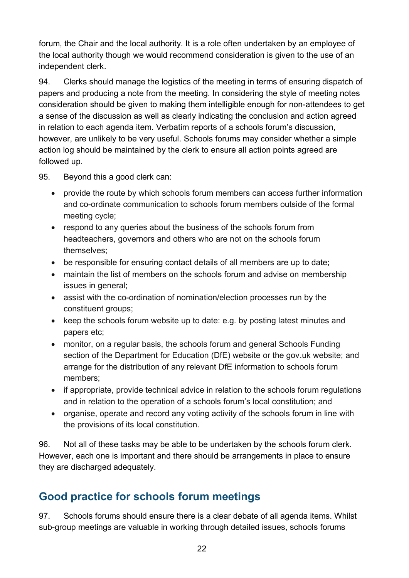forum, the Chair and the local authority. It is a role often undertaken by an employee of the local authority though we would recommend consideration is given to the use of an independent clerk.

94. Clerks should manage the logistics of the meeting in terms of ensuring dispatch of papers and producing a note from the meeting. In considering the style of meeting notes consideration should be given to making them intelligible enough for non-attendees to get a sense of the discussion as well as clearly indicating the conclusion and action agreed in relation to each agenda item. Verbatim reports of a schools forum's discussion, however, are unlikely to be very useful. Schools forums may consider whether a simple action log should be maintained by the clerk to ensure all action points agreed are followed up.

95. Beyond this a good clerk can:

- provide the route by which schools forum members can access further information and co-ordinate communication to schools forum members outside of the formal meeting cycle;
- respond to any queries about the business of the schools forum from headteachers, governors and others who are not on the schools forum themselves;
- be responsible for ensuring contact details of all members are up to date;
- maintain the list of members on the schools forum and advise on membership issues in general;
- assist with the co-ordination of nomination/election processes run by the constituent groups;
- keep the schools forum website up to date: e.g. by posting latest minutes and papers etc;
- monitor, on a regular basis, the schools forum and general Schools Funding section of the Department for Education (DfE) website or the gov.uk website; and arrange for the distribution of any relevant DfE information to schools forum members;
- if appropriate, provide technical advice in relation to the schools forum regulations and in relation to the operation of a schools forum's local constitution; and
- organise, operate and record any voting activity of the schools forum in line with the provisions of its local constitution.

96. Not all of these tasks may be able to be undertaken by the schools forum clerk. However, each one is important and there should be arrangements in place to ensure they are discharged adequately.

#### <span id="page-21-0"></span>**Good practice for schools forum meetings**

97. Schools forums should ensure there is a clear debate of all agenda items. Whilst sub-group meetings are valuable in working through detailed issues, schools forums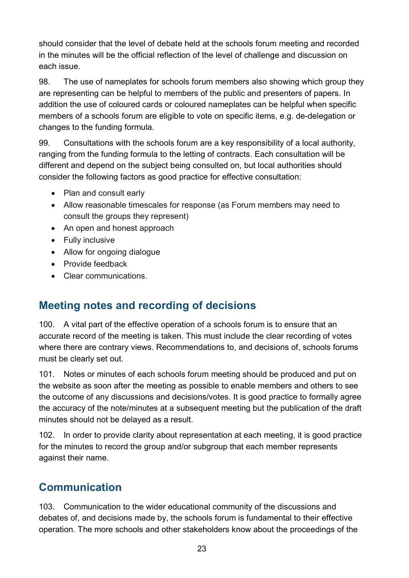should consider that the level of debate held at the schools forum meeting and recorded in the minutes will be the official reflection of the level of challenge and discussion on each issue.

98. The use of nameplates for schools forum members also showing which group they are representing can be helpful to members of the public and presenters of papers. In addition the use of coloured cards or coloured nameplates can be helpful when specific members of a schools forum are eligible to vote on specific items, e.g. de-delegation or changes to the funding formula.

99. Consultations with the schools forum are a key responsibility of a local authority, ranging from the funding formula to the letting of contracts. Each consultation will be different and depend on the subject being consulted on, but local authorities should consider the following factors as good practice for effective consultation:

- Plan and consult early
- Allow reasonable timescales for response (as Forum members may need to consult the groups they represent)
- An open and honest approach
- Fully inclusive
- Allow for ongoing dialogue
- Provide feedback
- Clear communications.

#### <span id="page-22-0"></span>**Meeting notes and recording of decisions**

100. A vital part of the effective operation of a schools forum is to ensure that an accurate record of the meeting is taken. This must include the clear recording of votes where there are contrary views. Recommendations to, and decisions of, schools forums must be clearly set out.

101. Notes or minutes of each schools forum meeting should be produced and put on the website as soon after the meeting as possible to enable members and others to see the outcome of any discussions and decisions/votes. It is good practice to formally agree the accuracy of the note/minutes at a subsequent meeting but the publication of the draft minutes should not be delayed as a result.

102. In order to provide clarity about representation at each meeting, it is good practice for the minutes to record the group and/or subgroup that each member represents against their name.

#### <span id="page-22-1"></span>**Communication**

103. Communication to the wider educational community of the discussions and debates of, and decisions made by, the schools forum is fundamental to their effective operation. The more schools and other stakeholders know about the proceedings of the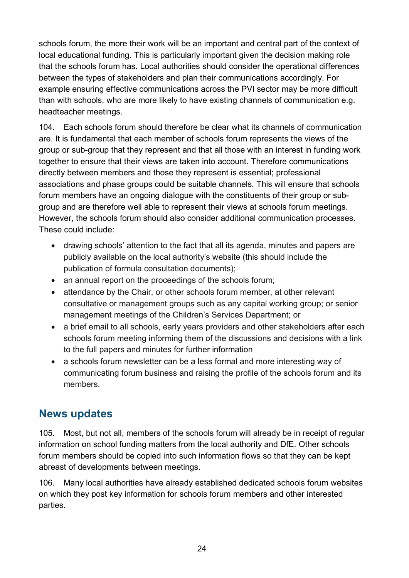schools forum, the more their work will be an important and central part of the context of local educational funding. This is particularly important given the decision making role that the schools forum has. Local authorities should consider the operational differences between the types of stakeholders and plan their communications accordingly. For example ensuring effective communications across the PVI sector may be more difficult than with schools, who are more likely to have existing channels of communication e.g. headteacher meetings.

104. Each schools forum should therefore be clear what its channels of communication are. It is fundamental that each member of schools forum represents the views of the group or sub-group that they represent and that all those with an interest in funding work together to ensure that their views are taken into account. Therefore communications directly between members and those they represent is essential; professional associations and phase groups could be suitable channels. This will ensure that schools forum members have an ongoing dialogue with the constituents of their group or subgroup and are therefore well able to represent their views at schools forum meetings. However, the schools forum should also consider additional communication processes. These could include:

- drawing schools' attention to the fact that all its agenda, minutes and papers are publicly available on the local authority's website (this should include the publication of formula consultation documents);
- an annual report on the proceedings of the schools forum;
- attendance by the Chair, or other schools forum member, at other relevant consultative or management groups such as any capital working group; or senior management meetings of the Children's Services Department; or
- a brief email to all schools, early years providers and other stakeholders after each schools forum meeting informing them of the discussions and decisions with a link to the full papers and minutes for further information
- a schools forum newsletter can be a less formal and more interesting way of communicating forum business and raising the profile of the schools forum and its members.

#### <span id="page-23-0"></span>**News updates**

105. Most, but not all, members of the schools forum will already be in receipt of regular information on school funding matters from the local authority and DfE. Other schools forum members should be copied into such information flows so that they can be kept abreast of developments between meetings.

106. Many local authorities have already established dedicated schools forum websites on which they post key information for schools forum members and other interested parties.